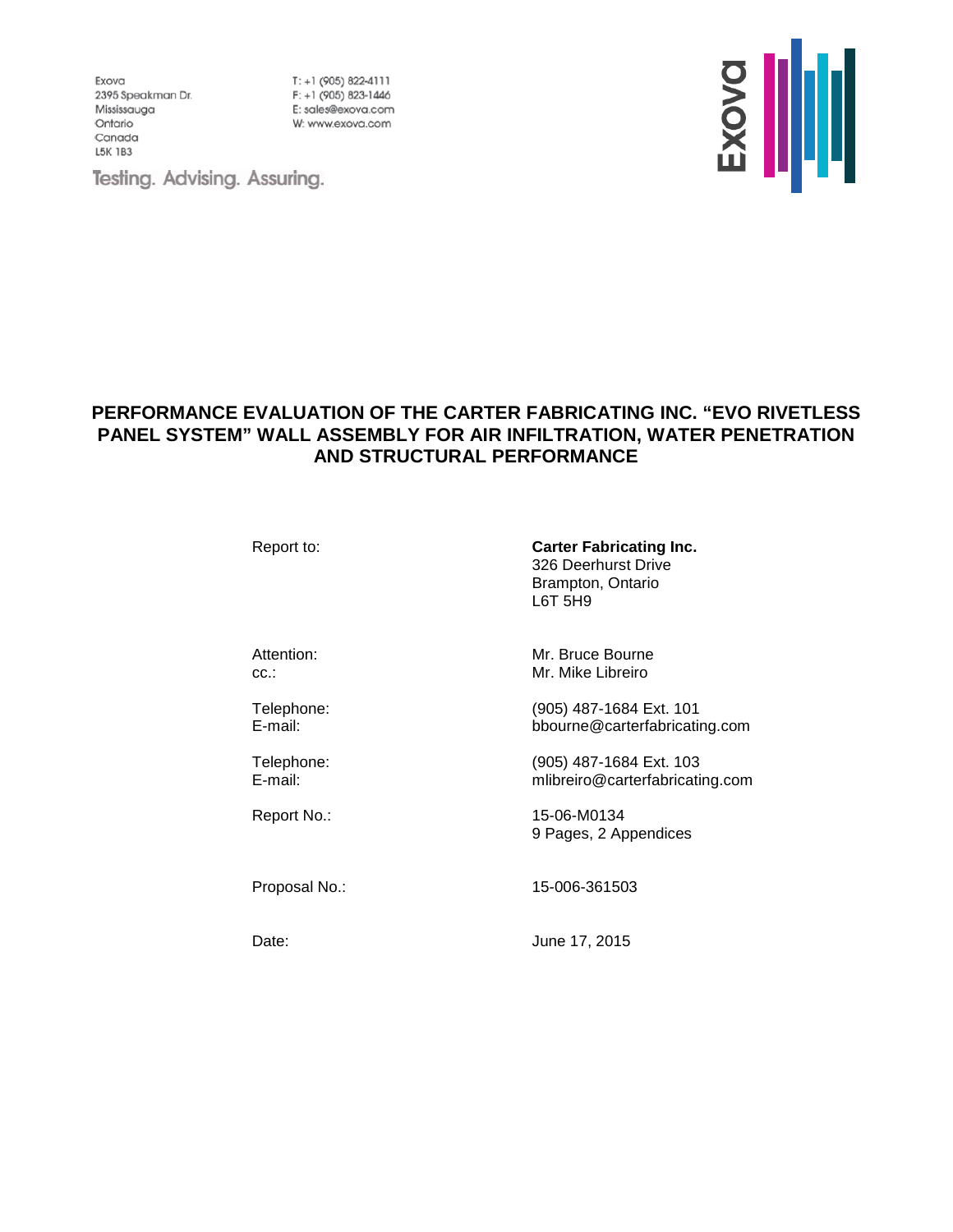Exova 2395 Speakman Dr. Mississauga Ontario Canada **L5K 1B3** 

 $T: +1$  (905) 822-4111 F: +1 (905) 823-1446 E: sales@exova.com W: www.exova.com



Testing. Advising. Assuring.

## **PERFORMANCE EVALUATION OF THE CARTER FABRICATING INC. "EVO RIVETLESS PANEL SYSTEM" WALL ASSEMBLY FOR AIR INFILTRATION, WATER PENETRATION AND STRUCTURAL PERFORMANCE**

Report to: **Carter Fabricating Inc.** 326 Deerhurst Drive Brampton, Ontario L6T 5H9

Attention: Mr. Bruce Bourne cc.: Mr. Mike Libreiro

Telephone: (905) 487-1684 Ext. 101 E-mail: bbourne@carterfabricating.com

Telephone: (905) 487-1684 Ext. 103<br>
E-mail: mlibreiro@carterfabricati mlibreiro@carterfabricating.com

Report No.: 15-06-M0134 9 Pages, 2 Appendices

Proposal No.: 15-006-361503

Date: **June 17, 2015**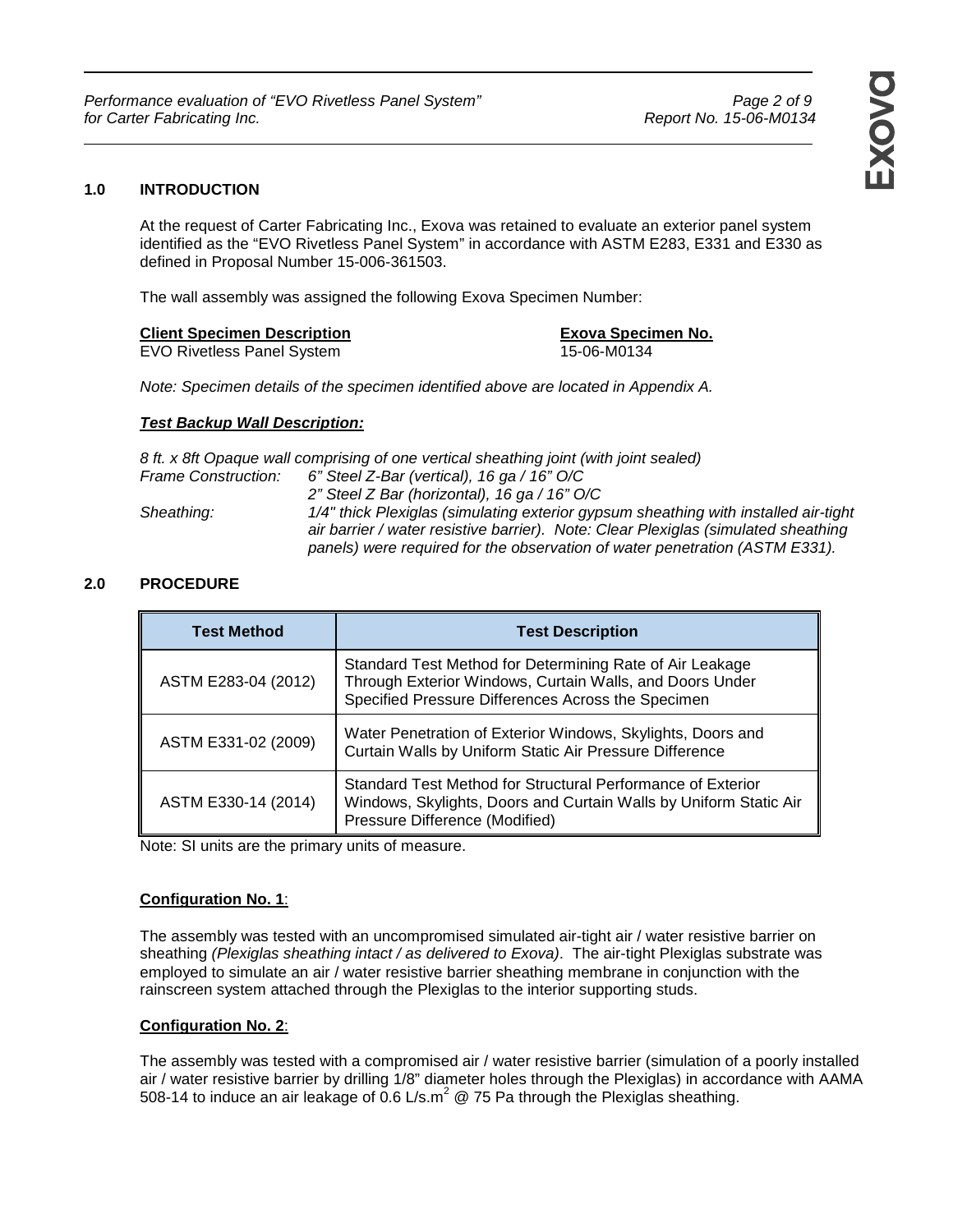### **1.0 INTRODUCTION**

At the request of Carter Fabricating Inc., Exova was retained to evaluate an exterior panel system identified as the "EVO Rivetless Panel System" in accordance with ASTM E283, E331 and E330 as defined in Proposal Number 15-006-361503.

The wall assembly was assigned the following Exova Specimen Number:

#### **Client Specimen Description Exova Specimen No. Exova Specimen No.**

EVO Rivetless Panel System 15-06-M0134

Note: Specimen details of the specimen identified above are located in Appendix A.

### **Test Backup Wall Description:**

|                     | 8 ft. x 8ft Opaque wall comprising of one vertical sheathing joint (with joint sealed)                                                                                                                                                                   |
|---------------------|----------------------------------------------------------------------------------------------------------------------------------------------------------------------------------------------------------------------------------------------------------|
| Frame Construction: | 6" Steel Z-Bar (vertical), 16 ga / 16" O/C                                                                                                                                                                                                               |
|                     | 2" Steel Z Bar (horizontal), 16 ga / 16" O/C                                                                                                                                                                                                             |
| Sheathing:          | 1/4" thick Plexiglas (simulating exterior gypsum sheathing with installed air-tight<br>air barrier / water resistive barrier). Note: Clear Plexiglas (simulated sheathing<br>panels) were required for the observation of water penetration (ASTM E331). |

### **2.0 PROCEDURE**

| <b>Test Method</b>  | <b>Test Description</b>                                                                                                                                                    |
|---------------------|----------------------------------------------------------------------------------------------------------------------------------------------------------------------------|
| ASTM E283-04 (2012) | Standard Test Method for Determining Rate of Air Leakage<br>Through Exterior Windows, Curtain Walls, and Doors Under<br>Specified Pressure Differences Across the Specimen |
| ASTM E331-02 (2009) | Water Penetration of Exterior Windows, Skylights, Doors and<br>Curtain Walls by Uniform Static Air Pressure Difference                                                     |
| ASTM E330-14 (2014) | Standard Test Method for Structural Performance of Exterior<br>Windows, Skylights, Doors and Curtain Walls by Uniform Static Air<br>Pressure Difference (Modified)         |

Note: SI units are the primary units of measure.

### **Configuration No. 1**:

The assembly was tested with an uncompromised simulated air-tight air / water resistive barrier on sheathing (Plexiglas sheathing intact / as delivered to Exova). The air-tight Plexiglas substrate was employed to simulate an air / water resistive barrier sheathing membrane in conjunction with the rainscreen system attached through the Plexiglas to the interior supporting studs.

### **Configuration No. 2**:

The assembly was tested with a compromised air / water resistive barrier (simulation of a poorly installed air / water resistive barrier by drilling 1/8" diameter holes through the Plexiglas) in accordance with AAMA 508-14 to induce an air leakage of 0.6 L/s.m<sup>2</sup> @ 75 Pa through the Plexiglas sheathing.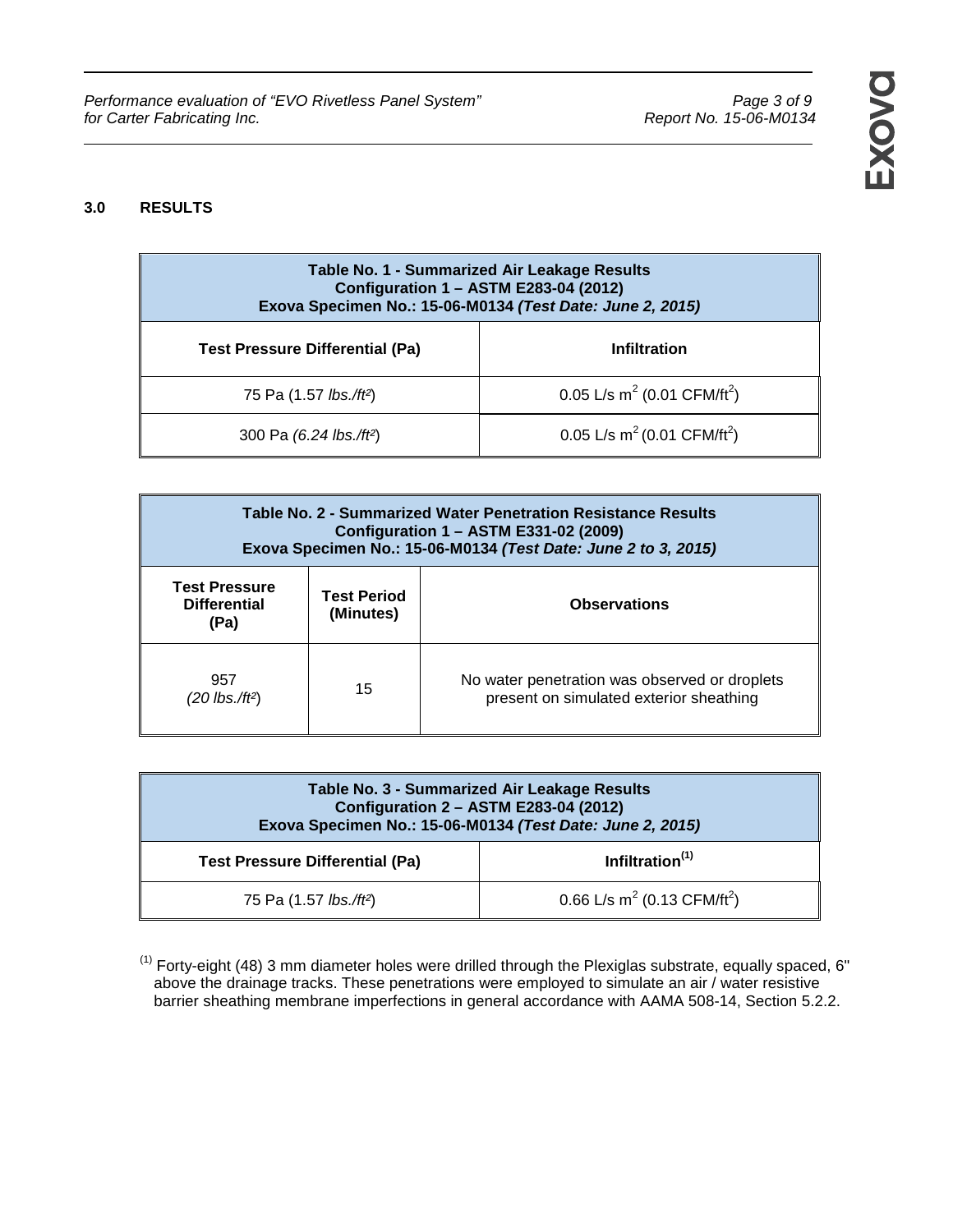Performance evaluation of "EVO Rivetless Panel System" Performance evaluation of "EVO Rivetless Panel System" page 3 of 9<br>Report No. 15-06-M0134 For Carter Fabricating Inc. for Carter Fabricating Inc.

## **3.0 RESULTS**

| Table No. 1 - Summarized Air Leakage Results<br>Configuration 1 - ASTM E283-04 (2012)<br>Exova Specimen No.: 15-06-M0134 (Test Date: June 2, 2015) |                                                     |  |
|----------------------------------------------------------------------------------------------------------------------------------------------------|-----------------------------------------------------|--|
| <b>Test Pressure Differential (Pa)</b>                                                                                                             | <b>Infiltration</b>                                 |  |
| 75 Pa (1.57 <i>lbs./ft</i> <sup>2</sup> )                                                                                                          | 0.05 L/s m <sup>2</sup> (0.01 CFM/ft <sup>2</sup> ) |  |
| 300 Pa (6.24 lbs./ft <sup>2</sup> )                                                                                                                | 0.05 L/s m <sup>2</sup> (0.01 CFM/ft <sup>2</sup> ) |  |

| Table No. 2 - Summarized Water Penetration Resistance Results<br>Configuration 1 - ASTM E331-02 (2009)<br>Exova Specimen No.: 15-06-M0134 (Test Date: June 2 to 3, 2015) |                                                        |                                                                                          |
|--------------------------------------------------------------------------------------------------------------------------------------------------------------------------|--------------------------------------------------------|------------------------------------------------------------------------------------------|
| <b>Test Pressure</b><br><b>Differential</b><br>(Pa)                                                                                                                      | <b>Test Period</b><br><b>Observations</b><br>(Minutes) |                                                                                          |
| 957<br>$(20$ lbs./ft <sup>2</sup> )                                                                                                                                      | 15                                                     | No water penetration was observed or droplets<br>present on simulated exterior sheathing |

| Table No. 3 - Summarized Air Leakage Results<br>Configuration 2 - ASTM E283-04 (2012)<br>Exova Specimen No.: 15-06-M0134 (Test Date: June 2, 2015) |                                                     |  |
|----------------------------------------------------------------------------------------------------------------------------------------------------|-----------------------------------------------------|--|
| Infiltration <sup>(1)</sup><br><b>Test Pressure Differential (Pa)</b>                                                                              |                                                     |  |
| 75 Pa (1.57 lbs./ft <sup>2</sup> )                                                                                                                 | 0.66 L/s m <sup>2</sup> (0.13 CFM/ft <sup>2</sup> ) |  |

 $(1)$  Forty-eight (48) 3 mm diameter holes were drilled through the Plexiglas substrate, equally spaced, 6" above the drainage tracks. These penetrations were employed to simulate an air / water resistive barrier sheathing membrane imperfections in general accordance with AAMA 508-14, Section 5.2.2.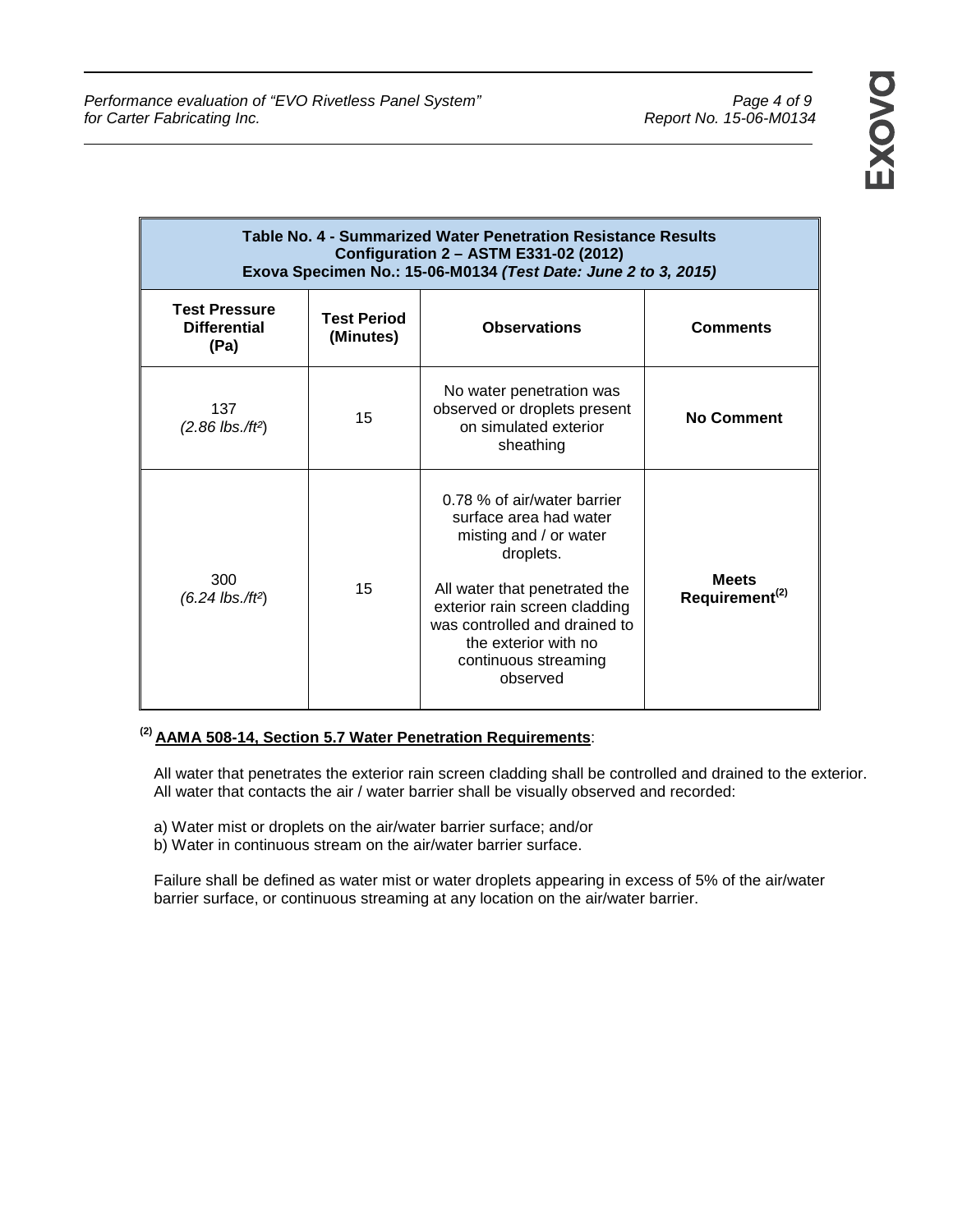| Table No. 4 - Summarized Water Penetration Resistance Results<br>Configuration 2 - ASTM E331-02 (2012)<br>Exova Specimen No.: 15-06-M0134 (Test Date: June 2 to 3, 2015) |                                                        |                                                                                                                                                                                                                                                             |                                            |
|--------------------------------------------------------------------------------------------------------------------------------------------------------------------------|--------------------------------------------------------|-------------------------------------------------------------------------------------------------------------------------------------------------------------------------------------------------------------------------------------------------------------|--------------------------------------------|
| <b>Test Pressure</b><br><b>Differential</b><br>(Pa)                                                                                                                      | <b>Test Period</b><br><b>Observations</b><br>(Minutes) |                                                                                                                                                                                                                                                             | <b>Comments</b>                            |
| 137<br>$(2.86$ lbs./ft <sup>2</sup> )                                                                                                                                    | 15                                                     | No water penetration was<br>observed or droplets present<br>on simulated exterior<br>sheathing                                                                                                                                                              | <b>No Comment</b>                          |
| 300<br>$(6.24$ lbs./ft <sup>2</sup> )                                                                                                                                    | 15                                                     | 0.78 % of air/water barrier<br>surface area had water<br>misting and / or water<br>droplets.<br>All water that penetrated the<br>exterior rain screen cladding<br>was controlled and drained to<br>the exterior with no<br>continuous streaming<br>observed | <b>Meets</b><br>Requirement <sup>(2)</sup> |

## **(2) AAMA 508-14, Section 5.7 Water Penetration Requirements**:

All water that penetrates the exterior rain screen cladding shall be controlled and drained to the exterior. All water that contacts the air / water barrier shall be visually observed and recorded:

- a) Water mist or droplets on the air/water barrier surface; and/or
- b) Water in continuous stream on the air/water barrier surface.

Failure shall be defined as water mist or water droplets appearing in excess of 5% of the air/water barrier surface, or continuous streaming at any location on the air/water barrier.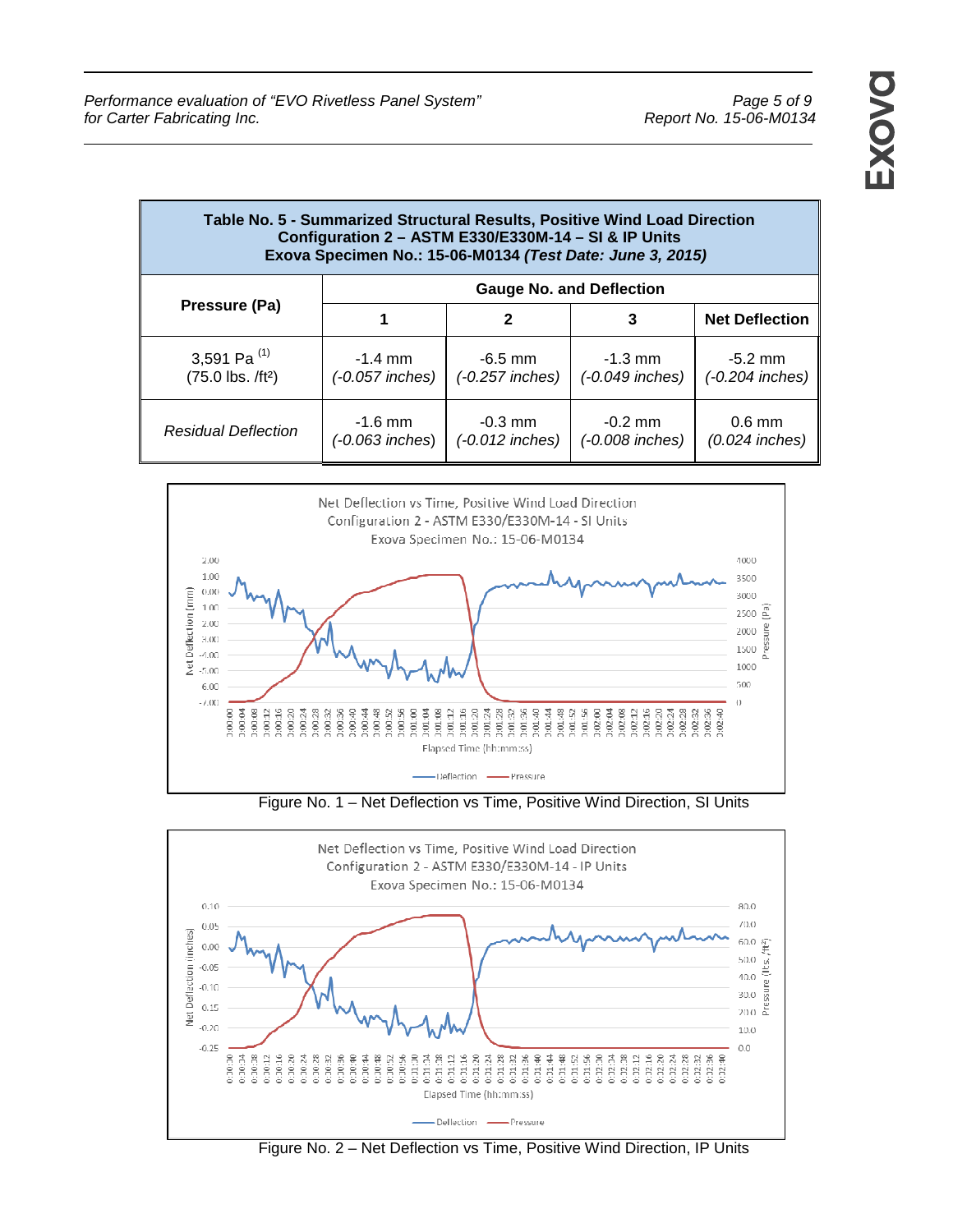| Table No. 5 - Summarized Structural Results, Positive Wind Load Direction<br>Configuration 2 - ASTM E330/E330M-14 - SI & IP Units<br>Exova Specimen No.: 15-06-M0134 (Test Date: June 3, 2015) |                                 |                                |                                          |                              |
|------------------------------------------------------------------------------------------------------------------------------------------------------------------------------------------------|---------------------------------|--------------------------------|------------------------------------------|------------------------------|
|                                                                                                                                                                                                | <b>Gauge No. and Deflection</b> |                                |                                          |                              |
| Pressure (Pa)                                                                                                                                                                                  |                                 | $\mathbf{2}$                   | 3                                        | <b>Net Deflection</b>        |
| 3,591 Pa $^{(1)}$<br>$(75.0$ lbs. $/ft^2)$                                                                                                                                                     | $-1.4$ mm<br>(-0.057 inches)    | $-6.5$ mm<br>(-0.257 inches)   | $-1.3 \, \text{mm}$<br>$(-0.049$ inches) | $-5.2$ mm<br>(-0.204 inches) |
| <b>Residual Deflection</b>                                                                                                                                                                     | $-1.6$ mm<br>(-0.063 inches)    | $-0.3$ mm<br>$(-0.012$ inches) | $-0.2$ mm<br>(-0.008 inches)             | $0.6$ mm<br>$(0.024$ inches) |



Figure No. 1 – Net Deflection vs Time, Positive Wind Direction, SI Units



Figure No. 2 – Net Deflection vs Time, Positive Wind Direction, IP Units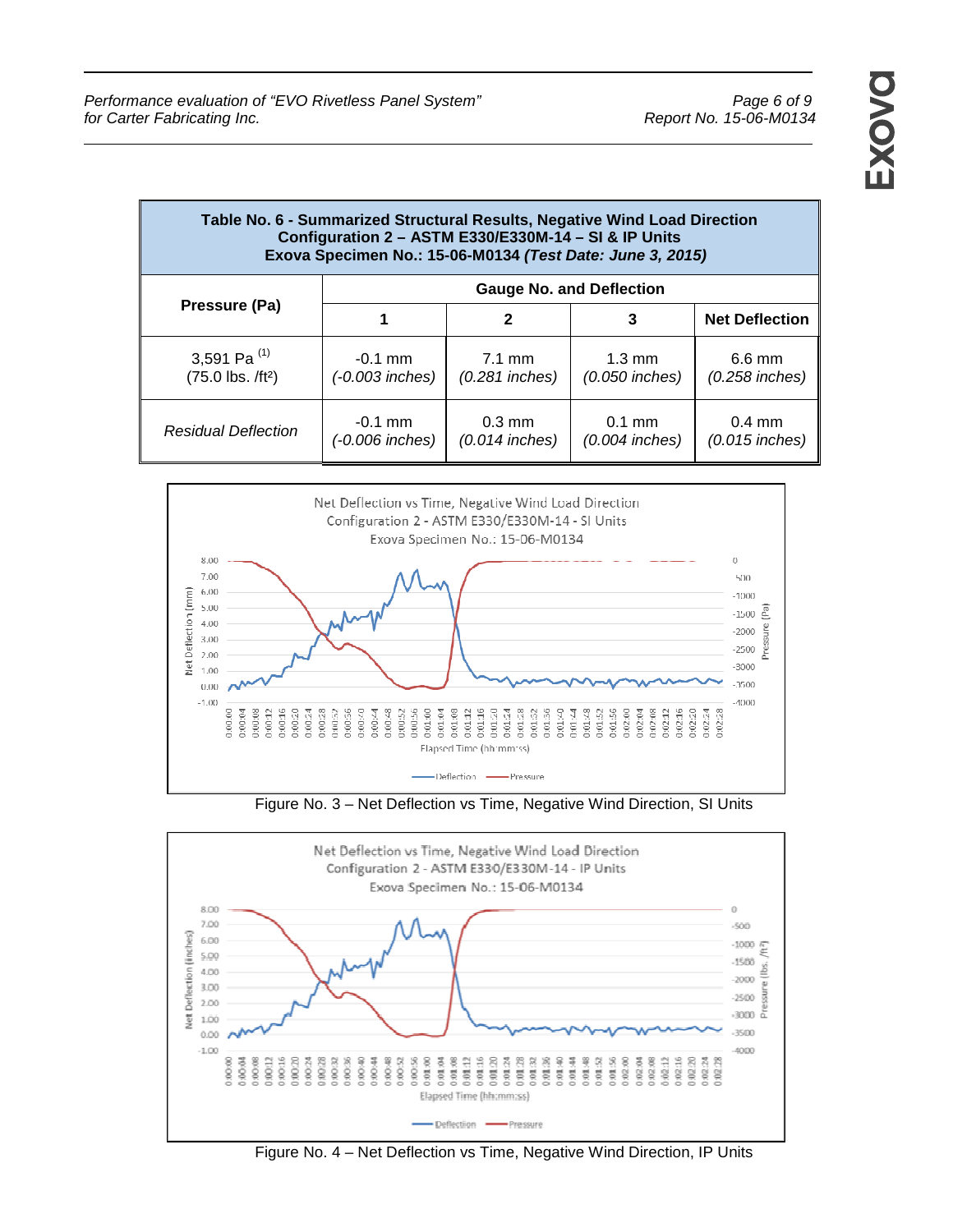| Table No. 6 - Summarized Structural Results, Negative Wind Load Direction<br>Configuration 2 - ASTM E330/E330M-14 - SI & IP Units<br>Exova Specimen No.: 15-06-M0134 (Test Date: June 3, 2015) |                                 |                                      |                                      |                              |
|------------------------------------------------------------------------------------------------------------------------------------------------------------------------------------------------|---------------------------------|--------------------------------------|--------------------------------------|------------------------------|
|                                                                                                                                                                                                | <b>Gauge No. and Deflection</b> |                                      |                                      |                              |
| Pressure (Pa)                                                                                                                                                                                  |                                 | $\mathbf{2}$                         | 3                                    | <b>Net Deflection</b>        |
| 3,591 Pa $^{(1)}$<br>$(75.0$ lbs. $/ft^2)$                                                                                                                                                     | $-0.1$ mm<br>(-0.003 inches)    | $7.1 \text{ mm}$<br>$(0.281$ inches) | $1.3 \text{ mm}$<br>$(0.050$ inches) | $6.6$ mm<br>$(0.258$ inches) |
| <b>Residual Deflection</b>                                                                                                                                                                     | $-0.1$ mm<br>(-0.006 inches)    | $0.3$ mm<br>$(0.014$ inches)         | $0.1$ mm<br>$(0.004$ inches)         | $0.4$ mm<br>$(0.015$ inches) |



Figure No. 3 – Net Deflection vs Time, Negative Wind Direction, SI Units



Figure No. 4 – Net Deflection vs Time, Negative Wind Direction, IP Units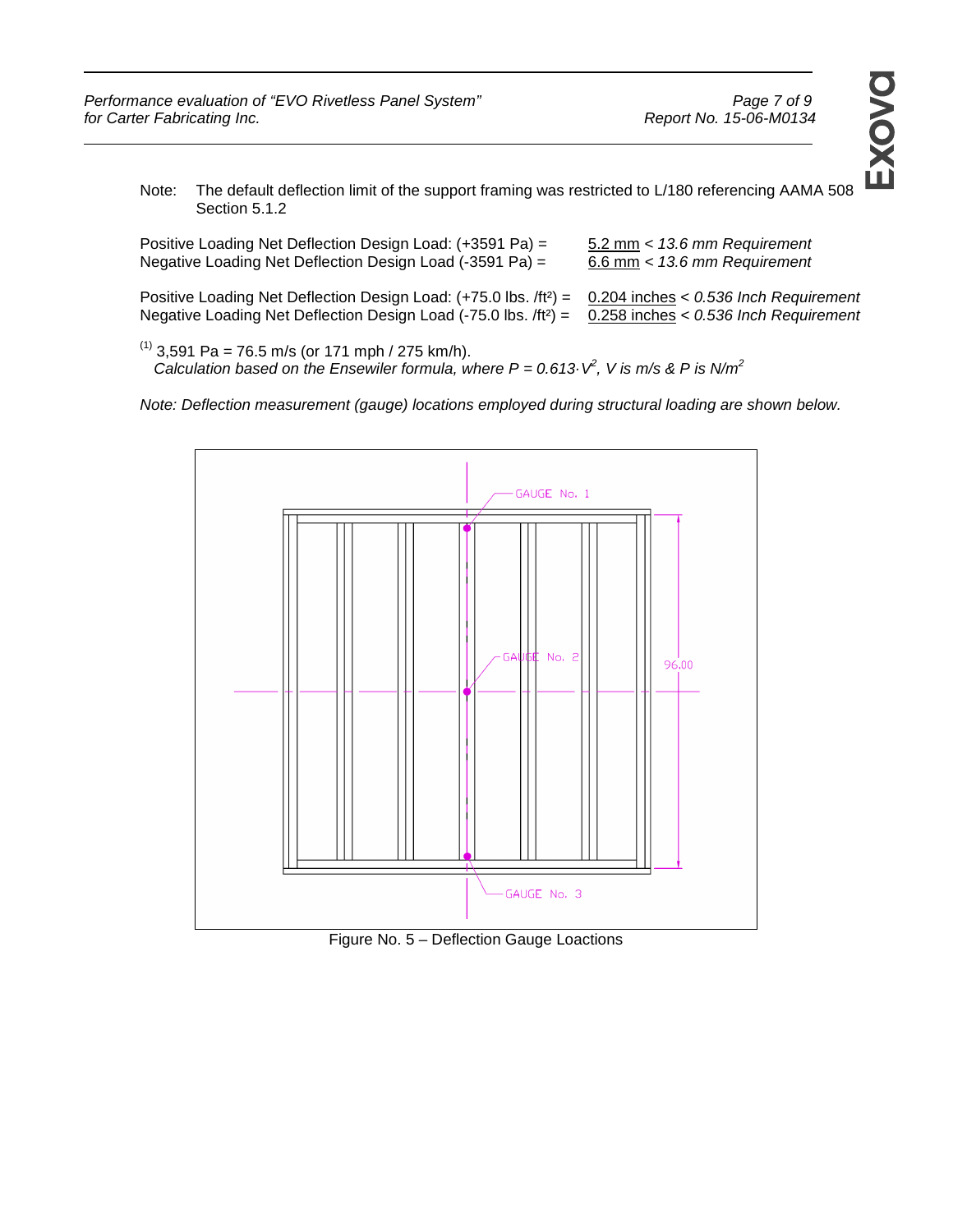Note: The default deflection limit of the support framing was restricted to L/180 referencing AAMA 508 Section 5.1.2

| Positive Loading Net Deflection Design Load: (+3591 Pa) =                                                                                                                                                                                   | 5.2 mm < 13.6 mm Requirement     |
|---------------------------------------------------------------------------------------------------------------------------------------------------------------------------------------------------------------------------------------------|----------------------------------|
| Negative Loading Net Deflection Design Load (-3591 Pa) =                                                                                                                                                                                    | $6.6$ mm $<$ 13.6 mm Requirement |
| Positive Loading Net Deflection Design Load: $(+75.0$ lbs. /ft <sup>2</sup> ) = 0.204 inches < 0.536 Inch Requirement<br>Negative Loading Net Deflection Design Load (-75.0 lbs. /ft <sup>2</sup> ) = 0.258 inches < 0.536 lnch Requirement |                                  |

 $^{(1)}$  3,591 Pa = 76.5 m/s (or 171 mph / 275 km/h). Calculation based on the Ensewiler formula, where  $P = 0.613 \, V^2$ , V is m/s & P is N/m<sup>2</sup>

Note: Deflection measurement (gauge) locations employed during structural loading are shown below.



Figure No. 5 – Deflection Gauge Loactions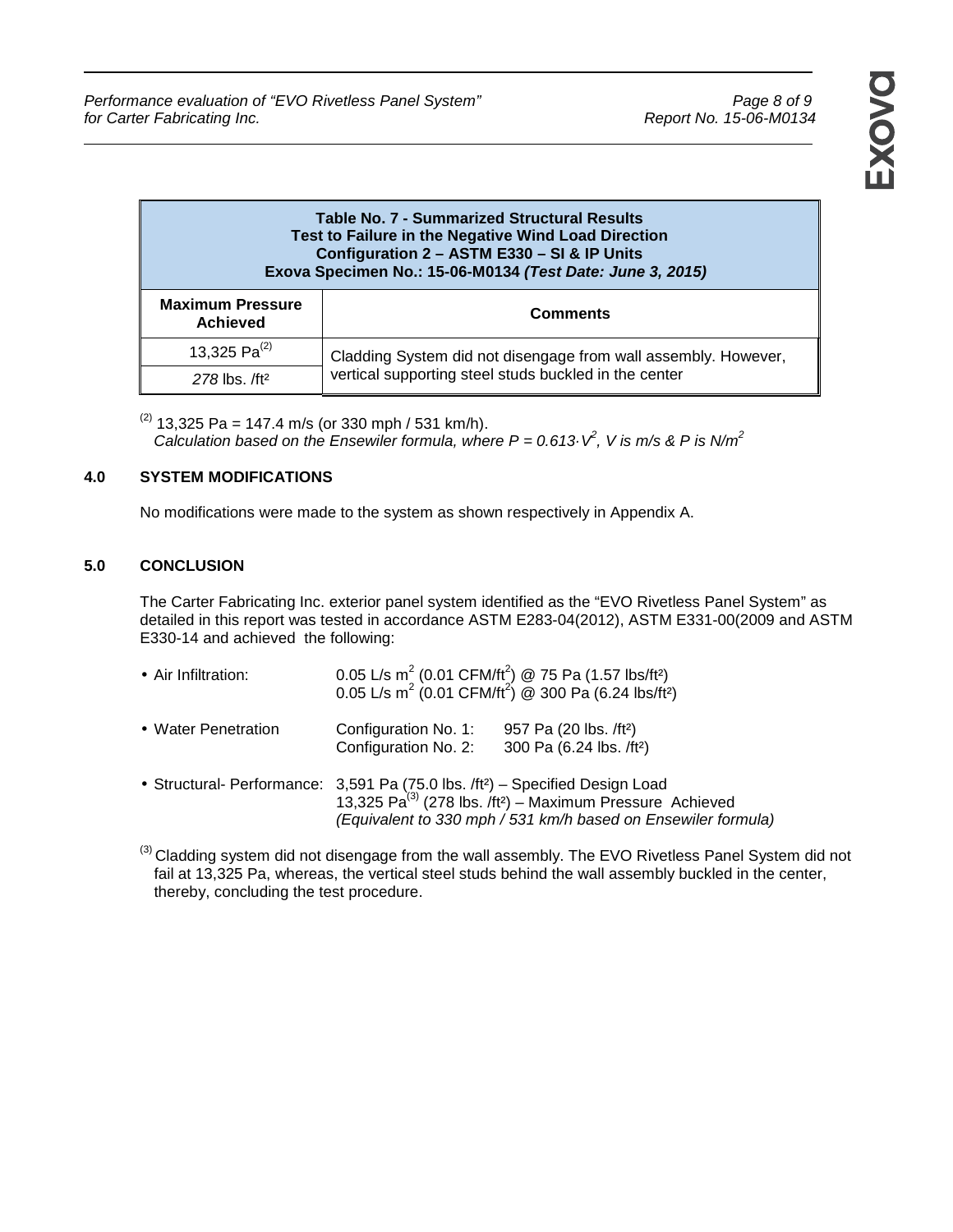## **Table No. 7 - Summarized Structural Results Test to Failure in the Negative Wind Load Direction Configuration 2 – ASTM E330 – SI & IP Units Exova Specimen No.: 15-06-M0134 (Test Date: June 3, 2015)** Τ

| <b>Maximum Pressure</b><br><b>Achieved</b> | <b>Comments</b>                                                |  |
|--------------------------------------------|----------------------------------------------------------------|--|
| 13,325 $Pa^{(2)}$                          | Cladding System did not disengage from wall assembly. However, |  |
| $278$ lbs. /ft <sup>2</sup>                | vertical supporting steel studs buckled in the center          |  |

 $(2)$  13,325 Pa = 147.4 m/s (or 330 mph / 531 km/h). Calculation based on the Ensewiler formula, where  $P = 0.613 \, V^2$ , V is m/s & P is N/m<sup>2</sup>

## **4.0 SYSTEM MODIFICATIONS**

No modifications were made to the system as shown respectively in Appendix A.

## **5.0 CONCLUSION**

The Carter Fabricating Inc. exterior panel system identified as the "EVO Rivetless Panel System" as detailed in this report was tested in accordance ASTM E283-04(2012), ASTM E331-00(2009 and ASTM E330-14 and achieved the following:

| • Air Infiltration: |                                                                                                                                                                                                                                                   | 0.05 L/s m <sup>2</sup> (0.01 CFM/ft <sup>2</sup> ) @ 75 Pa (1.57 lbs/ft <sup>2</sup> ) 0.05 L/s m <sup>2</sup> (0.01 CFM/ft <sup>2</sup> ) @ 300 Pa (6.24 lbs/ft <sup>2</sup> ) |  |
|---------------------|---------------------------------------------------------------------------------------------------------------------------------------------------------------------------------------------------------------------------------------------------|----------------------------------------------------------------------------------------------------------------------------------------------------------------------------------|--|
| • Water Penetration | Configuration No. 1:<br>Configuration No. 2:                                                                                                                                                                                                      | 957 Pa (20 lbs. /ft <sup>2</sup> )<br>300 Pa (6.24 lbs. /ft <sup>2</sup> )                                                                                                       |  |
|                     | • Structural- Performance: $3,591$ Pa (75.0 lbs. /ft <sup>2</sup> ) – Specified Design Load<br>13,325 Pa <sup>(3)</sup> (278 lbs. /ft <sup>2</sup> ) – Maximum Pressure Achieved<br>(Equivalent to 330 mph / 531 km/h based on Ensewiler formula) |                                                                                                                                                                                  |  |

 $^{(3)}$ Cladding system did not disengage from the wall assembly. The EVO Rivetless Panel System did not fail at 13,325 Pa, whereas, the vertical steel studs behind the wall assembly buckled in the center, thereby, concluding the test procedure.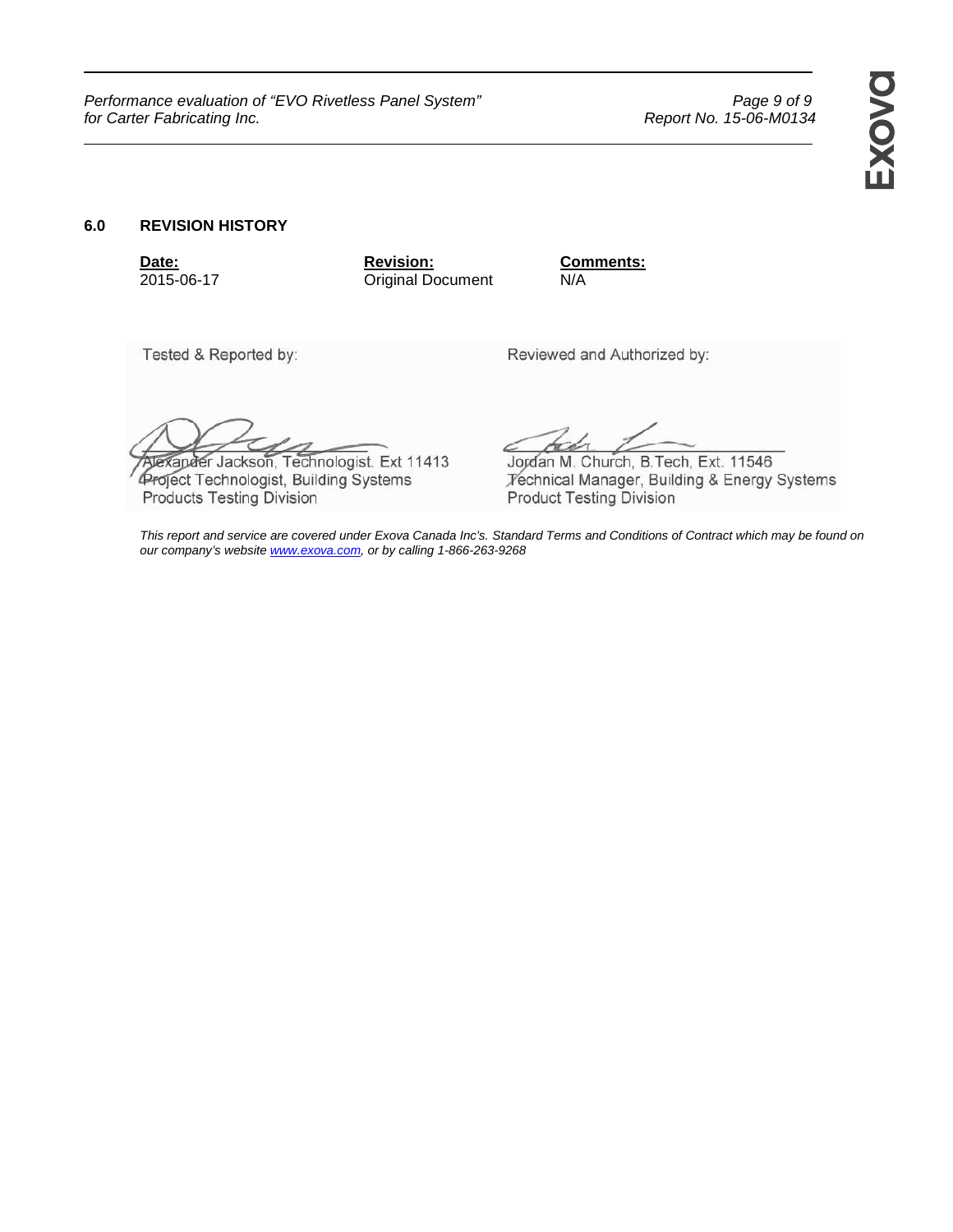Performance evaluation of "EVO Rivetless Panel System" example of 9 Page 9 of 9 for Carter Fabricating Inc. *Report No. 15-06-M0134* Report No. 15-06-M0134

### **6.0 REVISION HISTORY**

**Date: Date: Revision: Comments: 2015-06-17 COMPENDENTS: COMPENDENTS: COMPENDENTS: COMPENDENTS: COMPENDENTS: COMPENDENTS: COMPENDENTS: COMPENDENTS: COMPENDENTS: COMPENDENTS: COMPENDENTS: COM Original Document N/A** 

Tested & Reported by:

Reviewed and Authorized by:

Jexander Jackson, Technologist. Ext 11413 Project Technologist, Building Systems Products Testing Division

Jordan M. Church, B. Tech, Ext. 11546 Fechnical Manager, Building & Energy Systems **Product Testing Division** 

This report and service are covered under Exova Canada Inc's. Standard Terms and Conditions of Contract which may be found on our company's website **www.exova.com**, or by calling 1-866-263-9268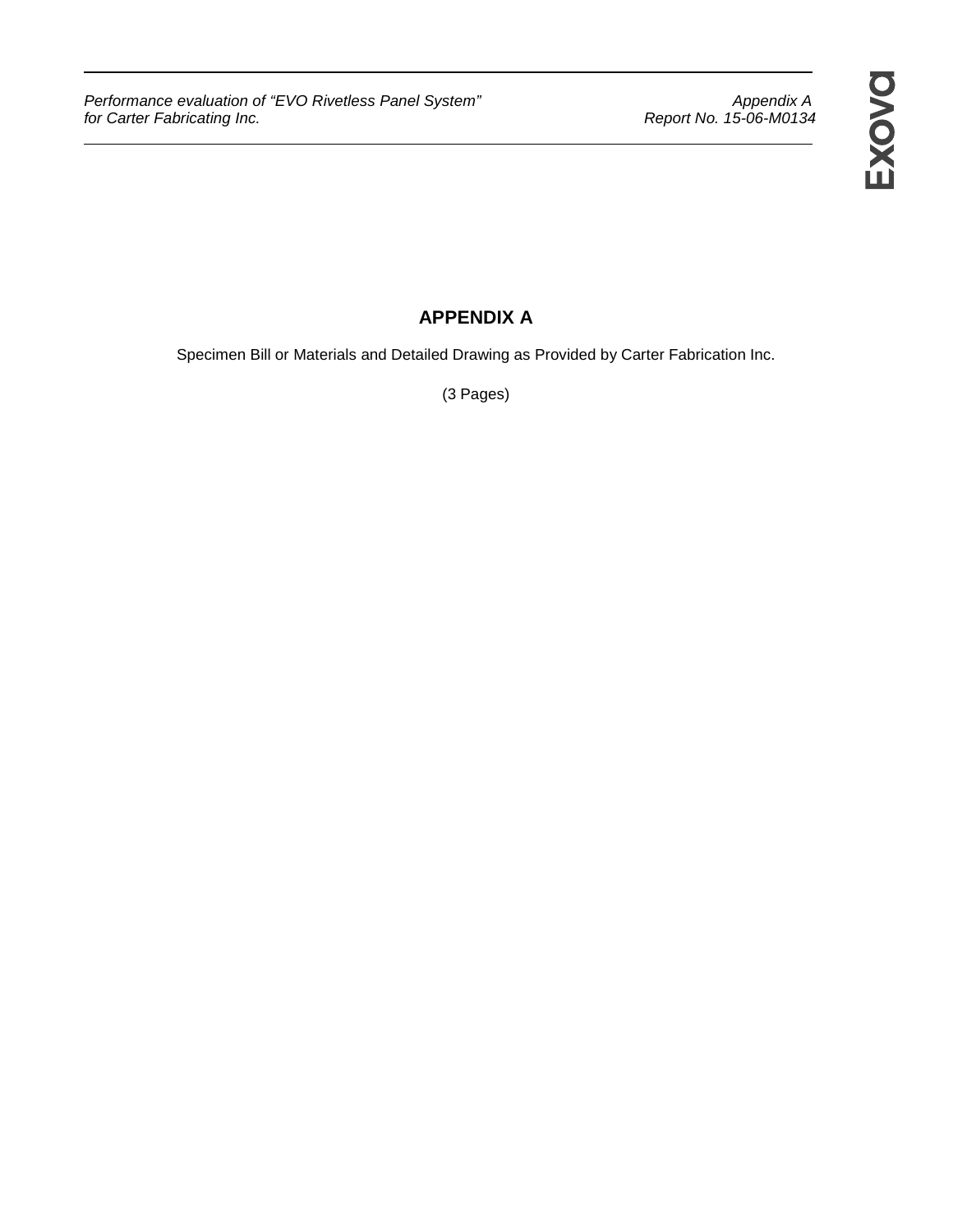Performance evaluation of "EVO Rivetless Panel System" Appendix A<br>15-06-M0134 Report No. 15-06-M0134 for Carter Fabricating Inc.

# **APPENDIX A**

Specimen Bill or Materials and Detailed Drawing as Provided by Carter Fabrication Inc.

(3 Pages)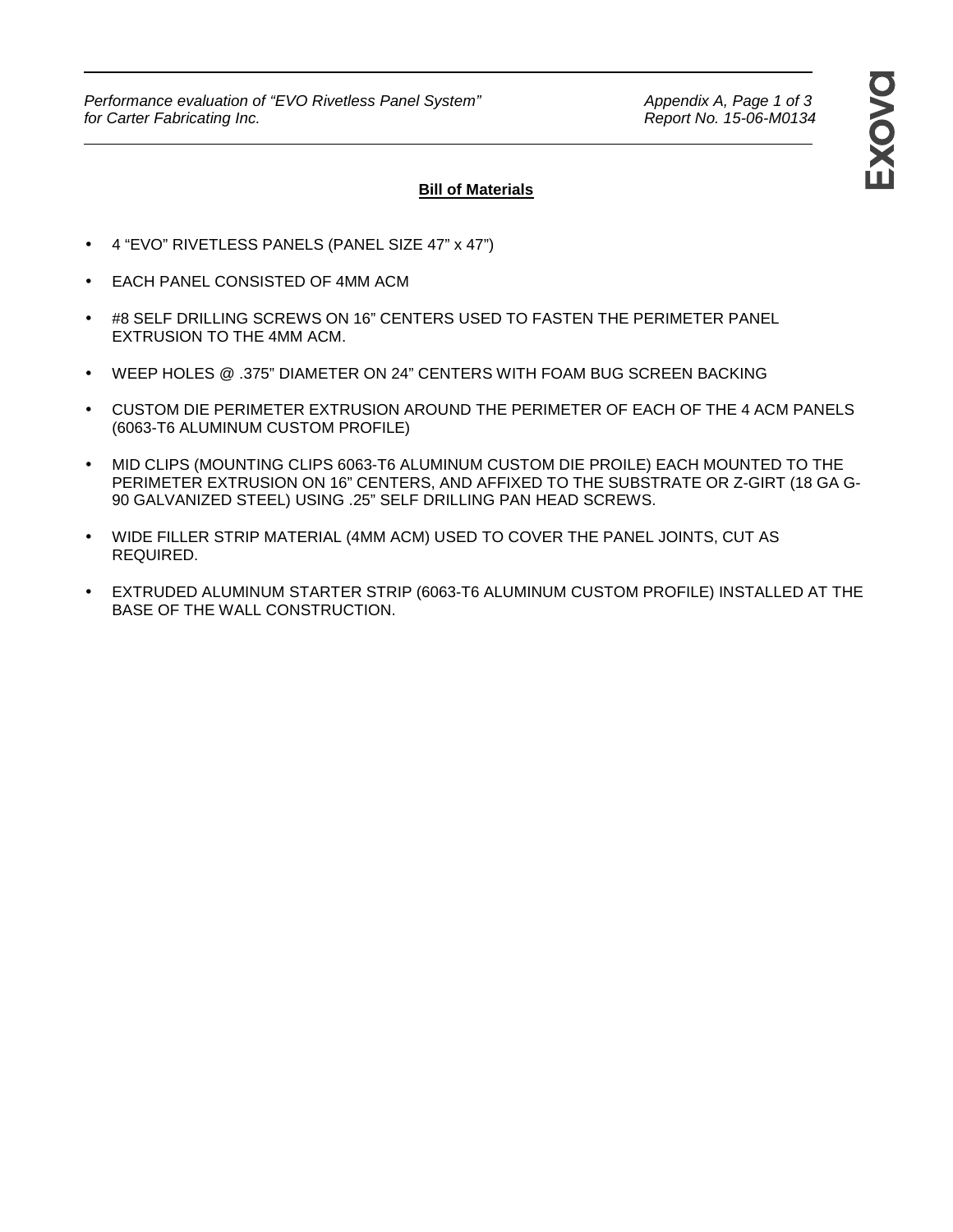Performance evaluation of "EVO Rivetless Panel System" Appendix A, Page 1 of 3<br>for Carter Fabricating Inc. And the System Appendix A, Page 1 of 3 for Carter Fabricating Inc.

## **Bill of Materials**

- 4 "EVO" RIVETLESS PANELS (PANEL SIZE 47" x 47")
- EACH PANEL CONSISTED OF 4MM ACM
- #8 SELF DRILLING SCREWS ON 16" CENTERS USED TO FASTEN THE PERIMETER PANEL EXTRUSION TO THE 4MM ACM.
- WEEP HOLES @ .375" DIAMETER ON 24" CENTERS WITH FOAM BUG SCREEN BACKING
- CUSTOM DIE PERIMETER EXTRUSION AROUND THE PERIMETER OF EACH OF THE 4 ACM PANELS (6063-T6 ALUMINUM CUSTOM PROFILE)
- MID CLIPS (MOUNTING CLIPS 6063-T6 ALUMINUM CUSTOM DIE PROILE) EACH MOUNTED TO THE PERIMETER EXTRUSION ON 16" CENTERS, AND AFFIXED TO THE SUBSTRATE OR Z-GIRT (18 GA G-90 GALVANIZED STEEL) USING .25" SELF DRILLING PAN HEAD SCREWS.
- WIDE FILLER STRIP MATERIAL (4MM ACM) USED TO COVER THE PANEL JOINTS, CUT AS REQUIRED.
- EXTRUDED ALUMINUM STARTER STRIP (6063-T6 ALUMINUM CUSTOM PROFILE) INSTALLED AT THE BASE OF THE WALL CONSTRUCTION.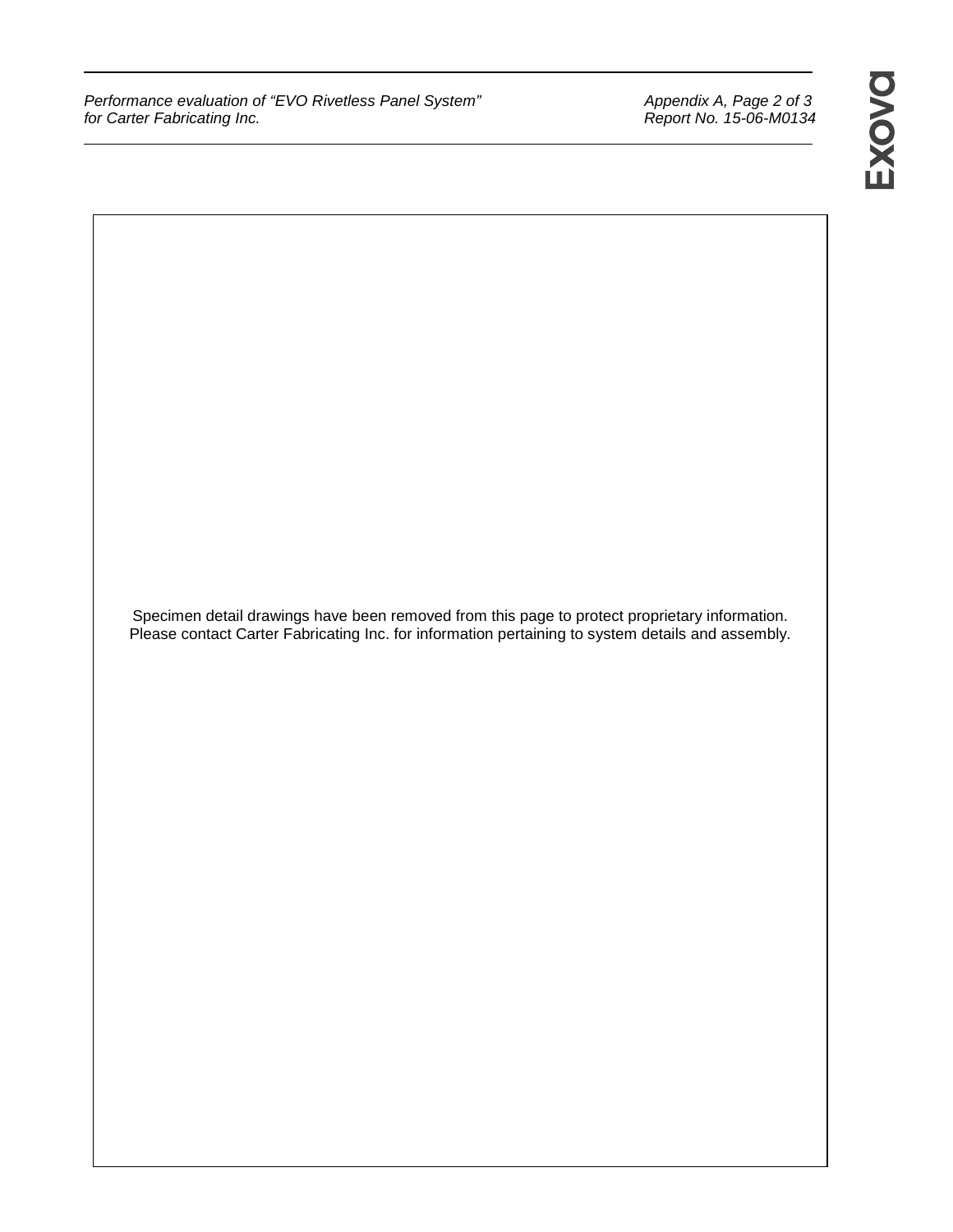Performance evaluation of "EVO Rivetless Panel System" Appendix A, Page 2 of 3<br>for Carter Fabricating Inc. And The System Monocause of 3 Report No. 15-06-M0134 for Carter Fabricating Inc.

Specimen detail drawings have been removed from this page to protect proprietary information. Please contact Carter Fabricating Inc. for information pertaining to system details and assembly.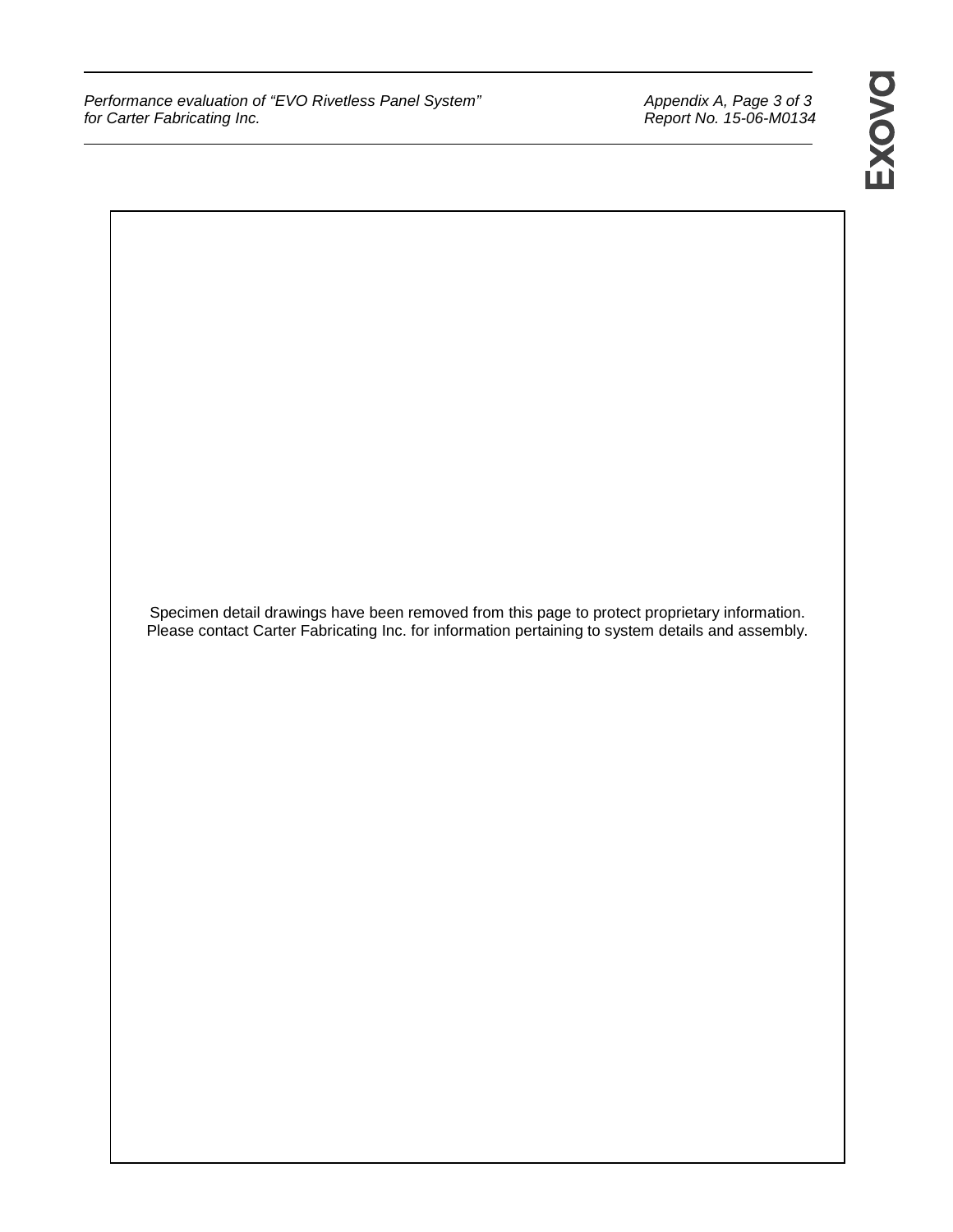Performance evaluation of "EVO Rivetless Panel System" Appendix A, Page 3 of 3<br>for Carter Fabricating Inc. And the System of the Report No. 15-06-M0134 for Carter Fabricating Inc.

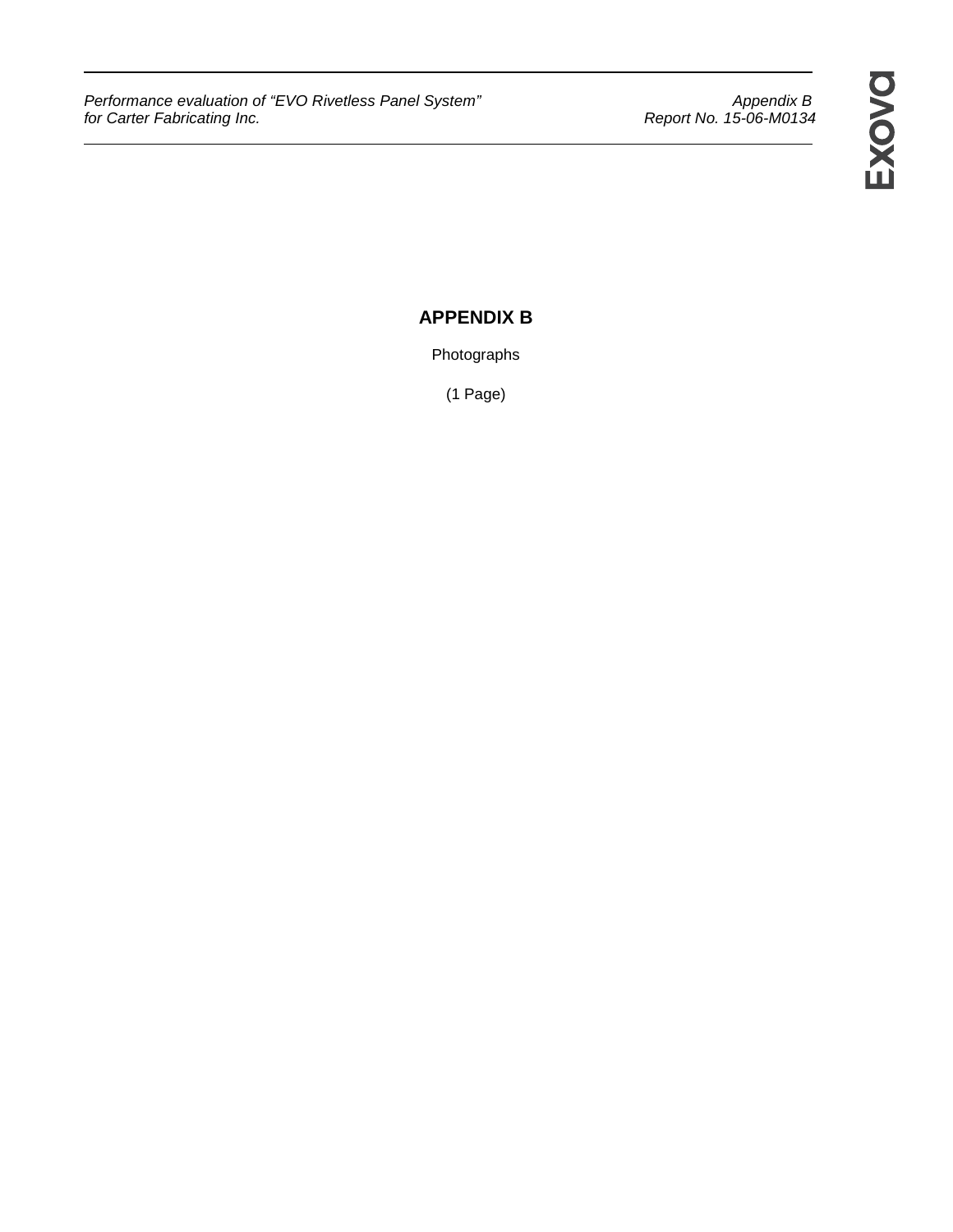Performance evaluation of "EVO Rivetless Panel System" Appendix B for Carter Fabricating Inc.Report No. 15-06-M0134

# **APPENDIX B**

Photographs

(1 Page)